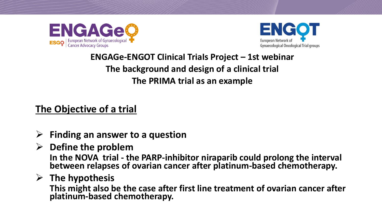



# **ENGAGe-ENGOT Clinical Trials Project – 1st webinar The background and design of a clinical trial The PRIMA trial as an example**

**The Objective of a trial**

- ➢ **Finding an answer to a question**
- ➢ **Define the problem In the NOVA trial - the PARP-inhibitor niraparib could prolong the interval between relapses of ovarian cancer after platinum-based chemotherapy.**
- ➢ **The hypothesis**

**This might also be the case after first line treatment of ovarian cancer after platinum-based chemotherapy.**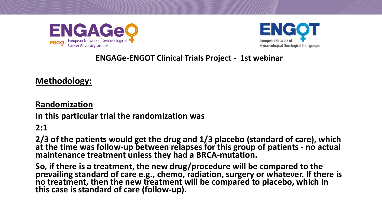



**Methodology:**

**Randomization**

**In this particular trial the randomization was**

**2:1** 

**2/3 of the patients would get the drug and 1/3 placebo (standard of care), which at the time was follow-up between relapses for this group of patients - no actual maintenance treatment unless they had a BRCA-mutation.** 

**So, if there is a treatment, the new drug/procedure will be compared to the prevailing standard of care e.g., chemo, radiation, surgery or whatever. If there is no treatment, then the new treatment will be compared to placebo, which in this case is standard of care (follow-up).**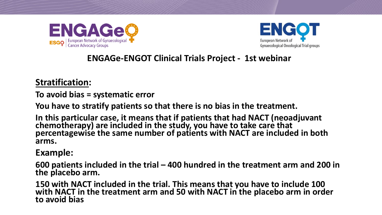



#### **Stratification:**

**To avoid bias = systematic error**

**You have to stratify patients so that there is no bias in the treatment.** 

**In this particular case, it means that if patients that had NACT (neoadjuvant chemotherapy) are included in the study, you have to take care that percentagewise the same number of patients with NACT are included in both arms.**

#### **Example:**

**600 patients included in the trial – 400 hundred in the treatment arm and 200 in the placebo arm.**

**150 with NACT included in the trial. This means that you have to include 100 with NACT in the treatment arm and 50 with NACT in the placebo arm in order to avoid bias**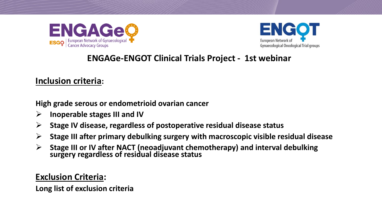



#### **Inclusion criteria:**

**High grade serous or endometrioid ovarian cancer**

- ➢ **Inoperable stages III and IV**
- ➢ **Stage IV disease, regardless of postoperative residual disease status**
- ➢ **Stage III after primary debulking surgery with macroscopic visible residual disease**
- ➢ **Stage III or IV after NACT (neoadjuvant chemotherapy) and interval debulking surgery regardless of residual disease status**

#### **Exclusion Criteria:**

**Long list of exclusion criteria**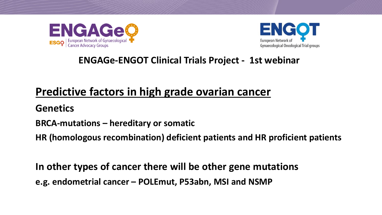



# **Predictive factors in high grade ovarian cancer**

**Genetics**

**BRCA-mutations – hereditary or somatic**

**HR (homologous recombination) deficient patients and HR proficient patients** 

**In other types of cancer there will be other gene mutations**

**e.g. endometrial cancer – POLEmut, P53abn, MSI and NSMP**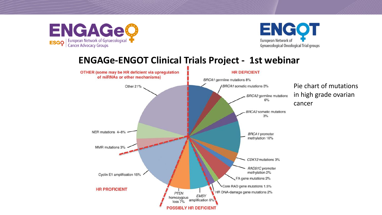



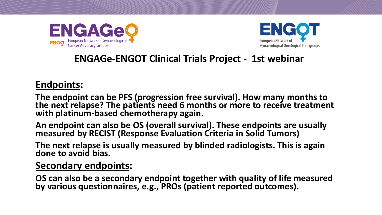



# **Endpoints:**

**The endpoint can be PFS (progression free survival). How many months to the next relapse? The patients need 6 months or more to receive treatment with platinum-based chemotherapy again.** 

**An endpoint can also be OS (overall survival). These endpoints are usually measured by RECIST (Response Evaluation Criteria in Solid Tumors)** 

**The next relapse is usually measured by blinded radiologists. This is again done to avoid bias.** 

# **Secondary endpoints:**

**OS can also be a secondary endpoint together with quality of life measured by various questionnaires, e.g., PROs (patient reported outcomes).**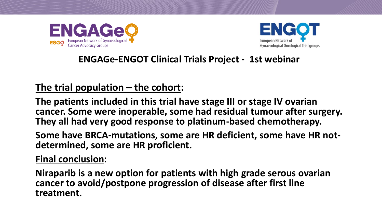



# **The trial population – the cohort:**

**The patients included in this trial have stage III or stage IV ovarian cancer. Some were inoperable, some had residual tumour after surgery. They all had very good response to platinum-based chemotherapy.** 

**Some have BRCA-mutations, some are HR deficient, some have HR notdetermined, some are HR proficient.**

**Final conclusion:**

**Niraparib is a new option for patients with high grade serous ovarian cancer to avoid/postpone progression of disease after first line treatment.**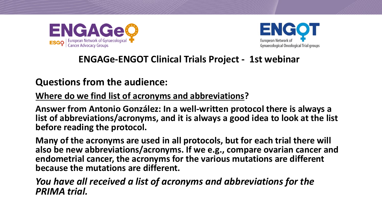



# **Questions from the audience:**

**Where do we find list of acronyms and abbreviations?**

**Answer from Antonio González: In a well-written protocol there is always a list of abbreviations/acronyms, and it is always a good idea to look at the list before reading the protocol.**

**Many of the acronyms are used in all protocols, but for each trial there will also be new abbreviations/acronyms. If we e.g., compare ovarian cancer and endometrial cancer, the acronyms for the various mutations are different because the mutations are different.** 

*You have all received a list of acronyms and abbreviations for the PRIMA trial.*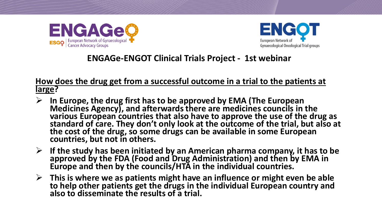



#### **How does the drug get from a successful outcome in a trial to the patients at large?**

- ➢ **In Europe, the drug first has to be approved by EMA (The European Medicines Agency), and afterwards there are medicines councils in the various European countries that also have to approve the use of the drug as standard of care. They don't only look at the outcome of the trial, but also at the cost of the drug, so some drugs can be available in some European countries, but not in others.**
- ➢ **If the study has been initiated by an American pharma company, it has to be approved by the FDA (Food and Drug Administration) and then by EMA in Europe and then by the councils/HTA in the individual countries.**
- ➢ **This is where we as patients might have an influence or might even be able to help other patients get the drugs in the individual European country and also to disseminate the results of a trial.**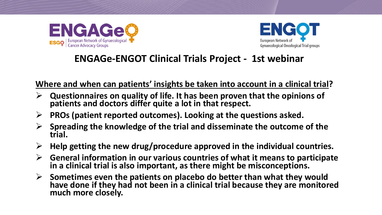



**Where and when can patients' insights be taken into account in a clinical trial?**

- ➢ **Questionnaires on quality of life. It has been proven that the opinions of patients and doctors differ quite a lot in that respect.**
- ➢ **PROs (patient reported outcomes). Looking at the questions asked.**
- ➢ **Spreading the knowledge of the trial and disseminate the outcome of the trial.**
- ➢ **Help getting the new drug/procedure approved in the individual countries.**
- ➢ **General information in our various countries of what it means to participate in a clinical trial is also important, as there might be misconceptions.**
- ➢ **Sometimes even the patients on placebo do better than what they would have done if they had not been in a clinical trial because they are monitored much more closely.**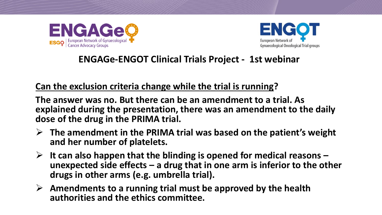



### **Can the exclusion criteria change while the trial is running?**

**The answer was no. But there can be an amendment to a trial. As explained during the presentation, there was an amendment to the daily dose of the drug in the PRIMA trial.**

- ➢ **The amendment in the PRIMA trial was based on the patient's weight and her number of platelets.**
- ➢ **It can also happen that the blinding is opened for medical reasons – unexpected side effects – a drug that in one arm is inferior to the other drugs in other arms (e.g. umbrella trial).**
- ➢ **Amendments to a running trial must be approved by the health authorities and the ethics committee.**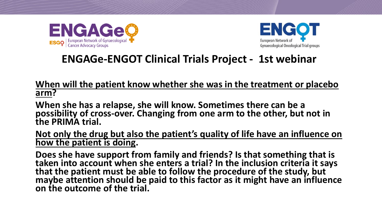



**When will the patient know whether she was in the treatment or placebo arm?** 

**When she has a relapse, she will know. Sometimes there can be a possibility of cross-over. Changing from one arm to the other, but not in the PRIMA trial.** 

**Not only the drug but also the patient's quality of life have an influence on how the patient is doing.** 

**Does she have support from family and friends? Is that something that is taken into account when she enters a trial? In the inclusion criteria it says that the patient must be able to follow the procedure of the study, but maybe attention should be paid to this factor as it might have an influence on the outcome of the trial.**